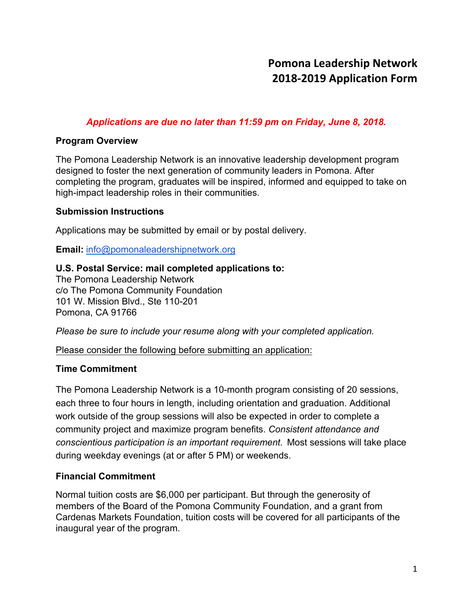# *Applications are due no later than 11:59 pm on Friday, June 8, 2018.*

# **Program Overview**

The Pomona Leadership Network is an innovative leadership development program designed to foster the next generation of community leaders in Pomona. After completing the program, graduates will be inspired, informed and equipped to take on high-impact leadership roles in their communities.

## **Submission Instructions**

Applications may be submitted by email or by postal delivery.

**Email:** [info@pomonaleadershipnetwork.org](mailto:info@pomonaleadershipnetwork.org)

# **U.S. Postal Service: mail completed applications to:**

The Pomona Leadership Network c/o The Pomona Community Foundation 101 W. Mission Blvd., Ste 110-201 Pomona, CA 91766

*Please be sure to include your resume along with your completed application.* 

Please consider the following before submitting an application:

# **Time Commitment**

The Pomona Leadership Network is a 10-month program consisting of 20 sessions, each three to four hours in length, including orientation and graduation. Additional work outside of the group sessions will also be expected in order to complete a community project and maximize program benefits. *Consistent attendance and conscientious participation is an important requirement.* Most sessions will take place during weekday evenings (at or after 5 PM) or weekends.

# **Financial Commitment**

Normal tuition costs are \$6,000 per participant. But through the generosity of members of the Board of the Pomona Community Foundation, and a grant from Cardenas Markets Foundation, tuition costs will be covered for all participants of the inaugural year of the program.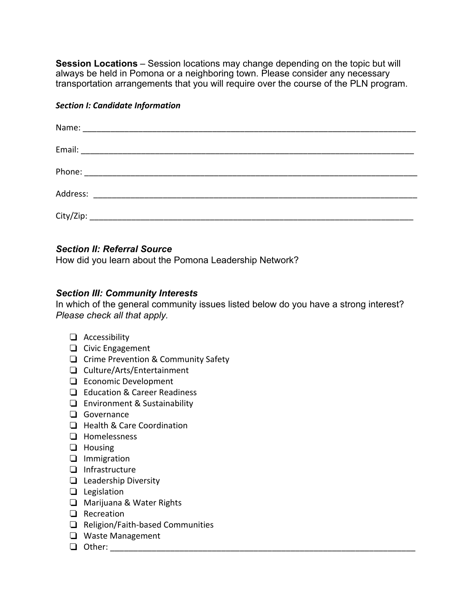**Session Locations** – Session locations may change depending on the topic but will always be held in Pomona or a neighboring town. Please consider any necessary transportation arrangements that you will require over the course of the PLN program.

#### *Section I: Candidate Information*

| Address:<br><u> 2002 - Jan Barnett, fransk politiker (d. 1882)</u> |  |
|--------------------------------------------------------------------|--|
|                                                                    |  |

### *Section II: Referral Source*

How did you learn about the Pomona Leadership Network?

### *Section III: Community Interests*

In which of the general community issues listed below do you have a strong interest? *Please check all that apply.* 

- ❏ Accessibility
- ❏ Civic Engagement
- ❏ Crime Prevention & Community Safety
- ❏ Culture/Arts/Entertainment
- ❏ Economic Development
- ❏ Education & Career Readiness
- ❏ Environment & Sustainability
- ❏ Governance
- ❏ Health & Care Coordination
- ❏ Homelessness
- ❏ Housing
- ❏ Immigration
- ❏ Infrastructure
- ❏ Leadership Diversity
- ❏ Legislation
- ❏ Marijuana & Water Rights
- ❏ Recreation
- ❏ Religion/Faith-based Communities
- ❏ Waste Management
- $\Box$  Other: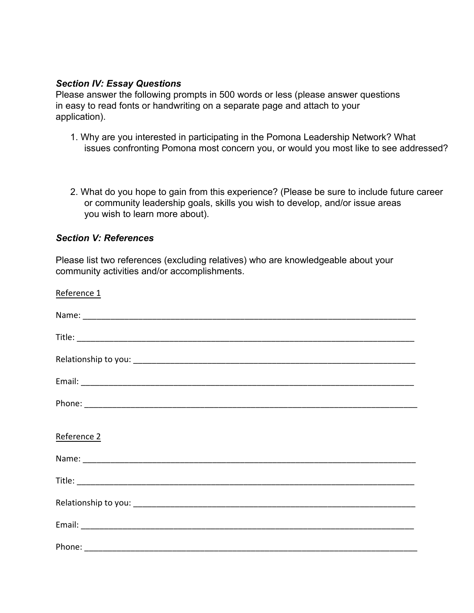### *Section IV: Essay Questions*

Please answer the following prompts in 500 words or less (please answer questions in easy to read fonts or handwriting on a separate page and attach to your application).

- 1. Why are you interested in participating in the Pomona Leadership Network? What issues confronting Pomona most concern you, or would you most like to see addressed?
- 2. What do you hope to gain from this experience? (Please be sure to include future career or community leadership goals, skills you wish to develop, and/or issue areas you wish to learn more about).

## *Section V: References*

Please list two references (excluding relatives) who are knowledgeable about your community activities and/or accomplishments.

| Reference 1 |
|-------------|
|             |
|             |
|             |
|             |
|             |
| Reference 2 |
|             |
|             |
|             |
|             |
|             |